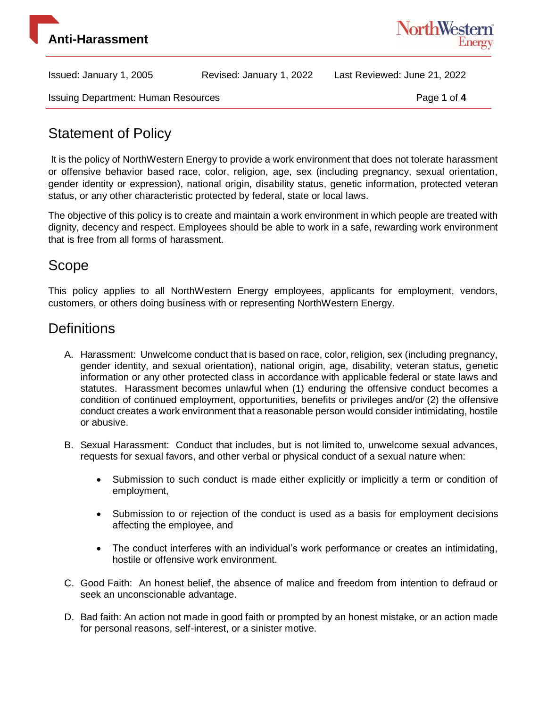



Issuing Department: Human Resources **Page 1** of 4

# Statement of Policy

It is the policy of NorthWestern Energy to provide a work environment that does not tolerate harassment or offensive behavior based race, color, religion, age, sex (including pregnancy, sexual orientation, gender identity or expression), national origin, disability status, genetic information, protected veteran status, or any other characteristic protected by federal, state or local laws.

The objective of this policy is to create and maintain a work environment in which people are treated with dignity, decency and respect. Employees should be able to work in a safe, rewarding work environment that is free from all forms of harassment.

### Scope

This policy applies to all NorthWestern Energy employees, applicants for employment, vendors, customers, or others doing business with or representing NorthWestern Energy.

## **Definitions**

- A. Harassment: Unwelcome conduct that is based on race, color, religion, sex (including pregnancy, gender identity, and sexual orientation), national origin, age, disability, veteran status, genetic information or any other protected class in accordance with applicable federal or state laws and statutes. Harassment becomes unlawful when (1) enduring the offensive conduct becomes a condition of continued employment, opportunities, benefits or privileges and/or (2) the offensive conduct creates a work environment that a reasonable person would consider intimidating, hostile or abusive.
- B. Sexual Harassment: Conduct that includes, but is not limited to, unwelcome sexual advances, requests for sexual favors, and other verbal or physical conduct of a sexual nature when:
	- Submission to such conduct is made either explicitly or implicitly a term or condition of employment,
	- Submission to or rejection of the conduct is used as a basis for employment decisions affecting the employee, and
	- The conduct interferes with an individual's work performance or creates an intimidating, hostile or offensive work environment.
- C. Good Faith: An honest belief, the absence of malice and freedom from intention to defraud or seek an unconscionable advantage.
- D. Bad faith: An action not made in good faith or prompted by an honest mistake, or an action made for personal reasons, self-interest, or a sinister motive.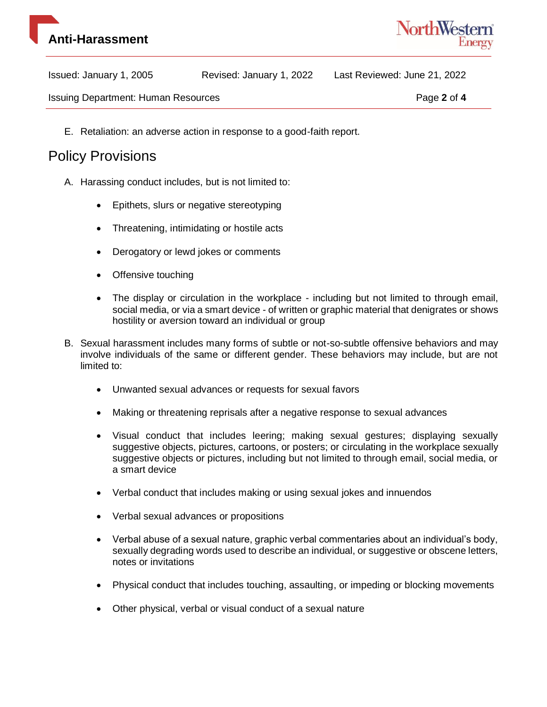



Issuing Department: Human Resources **Page 2** of 4

E. Retaliation: an adverse action in response to a good-faith report.

#### Policy Provisions

- A. Harassing conduct includes, but is not limited to:
	- Epithets, slurs or negative stereotyping
	- Threatening, intimidating or hostile acts
	- Derogatory or lewd jokes or comments
	- Offensive touching
	- The display or circulation in the workplace including but not limited to through email, social media, or via a smart device - of written or graphic material that denigrates or shows hostility or aversion toward an individual or group
- B. Sexual harassment includes many forms of subtle or not-so-subtle offensive behaviors and may involve individuals of the same or different gender. These behaviors may include, but are not limited to:
	- Unwanted sexual advances or requests for sexual favors
	- Making or threatening reprisals after a negative response to sexual advances
	- Visual conduct that includes leering; making sexual gestures; displaying sexually suggestive objects, pictures, cartoons, or posters; or circulating in the workplace sexually suggestive objects or pictures, including but not limited to through email, social media, or a smart device
	- Verbal conduct that includes making or using sexual jokes and innuendos
	- Verbal sexual advances or propositions
	- Verbal abuse of a sexual nature, graphic verbal commentaries about an individual's body, sexually degrading words used to describe an individual, or suggestive or obscene letters, notes or invitations
	- Physical conduct that includes touching, assaulting, or impeding or blocking movements
	- Other physical, verbal or visual conduct of a sexual nature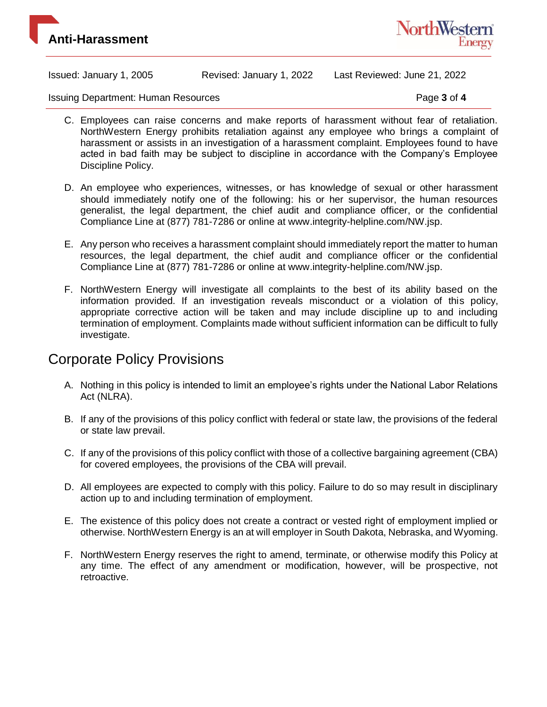



Issuing Department: Human Resources **Page 3** of 4

- C. Employees can raise concerns and make reports of harassment without fear of retaliation. NorthWestern Energy prohibits retaliation against any employee who brings a complaint of harassment or assists in an investigation of a harassment complaint. Employees found to have acted in bad faith may be subject to discipline in accordance with the Company's Employee Discipline Policy.
- D. An employee who experiences, witnesses, or has knowledge of sexual or other harassment should immediately notify one of the following: his or her supervisor, the human resources generalist, the legal department, the chief audit and compliance officer, or the confidential Compliance Line at (877) 781-7286 or online at www.integrity-helpline.com/NW.jsp.
- E. Any person who receives a harassment complaint should immediately report the matter to human resources, the legal department, the chief audit and compliance officer or the confidential Compliance Line at (877) 781-7286 or online at www.integrity-helpline.com/NW.jsp.
- F. NorthWestern Energy will investigate all complaints to the best of its ability based on the information provided. If an investigation reveals misconduct or a violation of this policy, appropriate corrective action will be taken and may include discipline up to and including termination of employment. Complaints made without sufficient information can be difficult to fully investigate.

## Corporate Policy Provisions

- A. Nothing in this policy is intended to limit an employee's rights under the National Labor Relations Act (NLRA).
- B. If any of the provisions of this policy conflict with federal or state law, the provisions of the federal or state law prevail.
- C. If any of the provisions of this policy conflict with those of a collective bargaining agreement (CBA) for covered employees, the provisions of the CBA will prevail.
- D. All employees are expected to comply with this policy. Failure to do so may result in disciplinary action up to and including termination of employment.
- E. The existence of this policy does not create a contract or vested right of employment implied or otherwise. NorthWestern Energy is an at will employer in South Dakota, Nebraska, and Wyoming.
- F. NorthWestern Energy reserves the right to amend, terminate, or otherwise modify this Policy at any time. The effect of any amendment or modification, however, will be prospective, not retroactive.